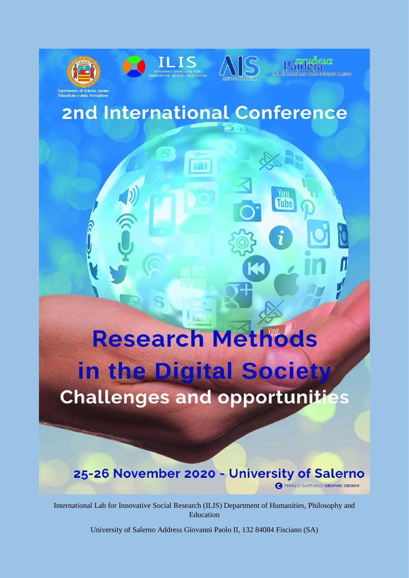





seienze umane

# **2nd International Conference**

**Research Methods** in the Digital Society **Challenges and opportunities** 

# 25-26 November 2020 - University of Salerno PERILLO GAETANO/ GRAPHIC DESIGN

International Lab for Innovative Social Research (ILIS) Department of Humanities, Philosophy and **Education** 

University of Salerno Address Giovanni Paolo II, 132 84084 Fisciano (SA)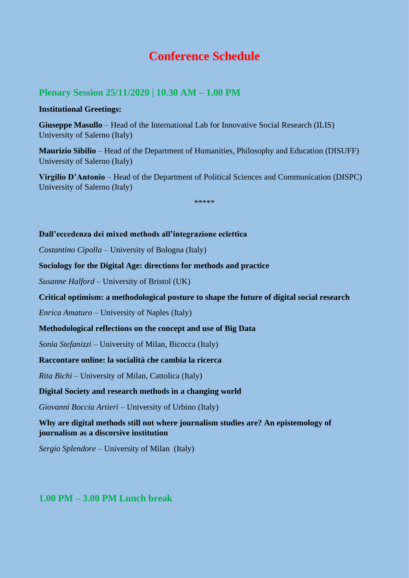# **Conference Schedule**

# **Plenary Session 25/11/2020 | 10.30 AM – 1.00 PM**

#### **Institutional Greetings:**

**Giuseppe Masullo** – Head of the International Lab for Innovative Social Research (ILIS) University of Salerno (Italy)

**Maurizio Sibilio** – Head of the Department of Humanities, Philosophy and Education (DISUFF) University of Salerno (Italy)

**Virgilio D'Antonio** – Head of the Department of Political Sciences and Communication (DISPC) University of Salerno (Italy)

\*\*\*\*\*

#### **Dall'eccedenza dei mixed methods all'integrazione eclettica**

*Costantino Cipolla* – University of Bologna (Italy)

**Sociology for the Digital Age: directions for methods and practice**

*Susanne Halford* – University of Bristol (UK)

#### **Critical optimism: a methodological posture to shape the future of digital social research**

*Enrica Amaturo* – University of Naples (Italy)

#### **Methodological reflections on the concept and use of Big Data**

*Sonia Stefanizzi* – University of Milan, Bicocca (Italy)

#### **Raccontare online: la socialità che cambia la ricerca**

*Rita Bichi* – University of Milan, Cattolica (Italy)

#### **Digital Society and research methods in a changing world**

*Giovanni Boccia Artieri* – University of Urbino (Italy)

# **Why are digital methods still not where journalism studies are? An epistemology of journalism as a discorsive institution**

*Sergio Splendore* – University of Milan (Italy)

# **1.00 PM – 3.00 PM Lunch break**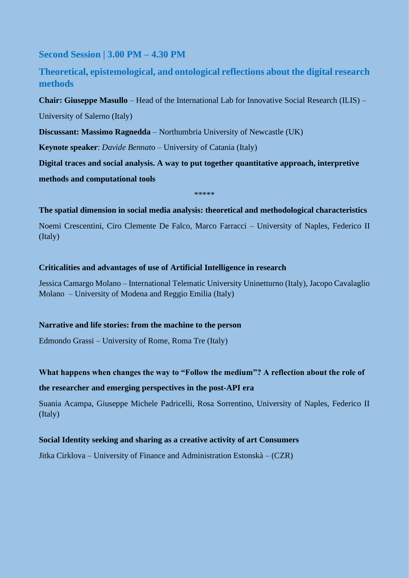**Second Session | 3.00 PM – 4.30 PM**

**Theoretical, epistemological, and ontological reflections about the digital research methods**

**Chair: Giuseppe Masullo** – Head of the International Lab for Innovative Social Research (ILIS) – University of Salerno (Italy)

**Discussant: Massimo Ragnedda** – Northumbria University of Newcastle (UK)

**Keynote speaker**: *Davide Bennat*o – University of Catania (Italy)

**Digital traces and social analysis. A way to put together quantitative approach, interpretive methods and computational tools**

\*\*\*\*\*

#### **The spatial dimension in social media analysis: theoretical and methodological characteristics**

Noemi Crescentini, Ciro Clemente De Falco, Marco Farracci – University of Naples, Federico II (Italy)

#### **Criticalities and advantages of use of Artificial Intelligence in research**

Jessica Camargo Molano – International Telematic University Uninetturno (Italy), Jacopo Cavalaglio Molano – University of Modena and Reggio Emilia (Italy)

#### **Narrative and life stories: from the machine to the person**

Edmondo Grassi – University of Rome, Roma Tre (Italy)

# **What happens when changes the way to "Follow the medium"? A reflection about the role of the researcher and emerging perspectives in the post-API era**

Suania Acampa, Giuseppe Michele Padricelli, Rosa Sorrentino, University of Naples, Federico II (Italy)

#### **Social Identity seeking and sharing as a creative activity of art Consumers**

Jitka Cirklova – University of Finance and Administration Estonskà – (CZR)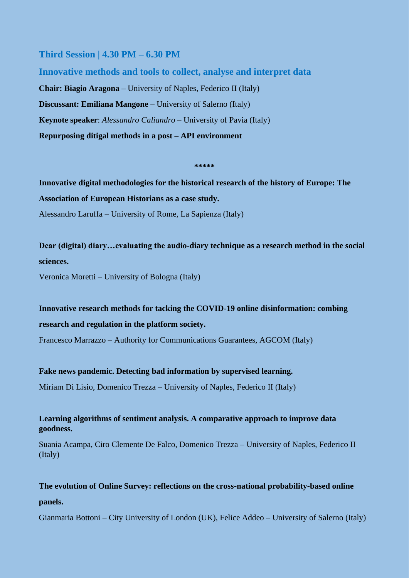## **Third Session | 4.30 PM – 6.30 PM**

**Innovative methods and tools to collect, analyse and interpret data Chair: Biagio Aragona** – University of Naples, Federico II (Italy) **Discussant: Emiliana Mangone** – University of Salerno (Italy) **Keynote speaker**: *Alessandro Caliandro –* University of Pavia (Italy) **Repurposing ditigal methods in a post – API environment**

**\*\*\*\*\***

**Innovative digital methodologies for the historical research of the history of Europe: The Association of European Historians as a case study.** Alessandro Laruffa – University of Rome, La Sapienza (Italy)

**Dear (digital) diary…evaluating the audio-diary technique as a research method in the social sciences.**

Veronica Moretti – University of Bologna (Italy)

**Innovative research methods for tacking the COVID-19 online disinformation: combing research and regulation in the platform society.**

Francesco Marrazzo – Authority for Communications Guarantees, AGCOM (Italy)

**Fake news pandemic. Detecting bad information by supervised learning.**

Miriam Di Lisio, Domenico Trezza – University of Naples, Federico II (Italy)

**Learning algorithms of sentiment analysis. A comparative approach to improve data goodness.**

Suania Acampa, Ciro Clemente De Falco, Domenico Trezza – University of Naples, Federico II (Italy)

**The evolution of Online Survey: reflections on the cross-national probability-based online panels.**

Gianmaria Bottoni – City University of London (UK), Felice Addeo – University of Salerno (Italy)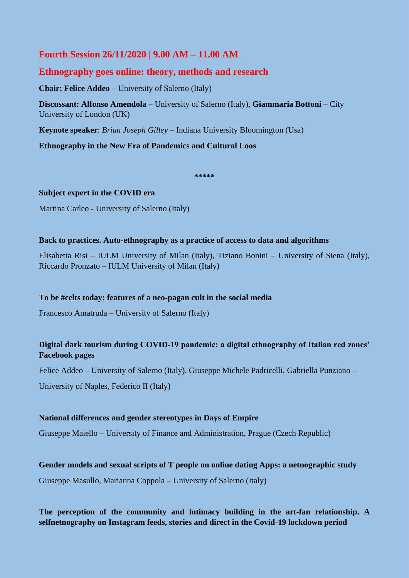# **Fourth Session 26/11/2020 | 9.00 AM – 11.00 AM**

# **Ethnography goes online: theory, methods and research**

**Chair: Felice Addeo** – University of Salerno (Italy)

**Discussant: Alfonso Amendola** – University of Salerno (Italy), **Giammaria Bottoni** – City University of London (UK)

**Keynote speaker**: *Brian Joseph Gilley* – Indiana University Bloomington (Usa)

**Ethnography in the New Era of Pandemics and Cultural Loos**

**\*\*\*\*\***

#### **Subject expert in the COVID era**

Martina Carleo - University of Salerno (Italy)

#### **Back to practices. Auto-ethnography as a practice of access to data and algorithms**

Elisabetta Risi – IULM University of Milan (Italy), Tiziano Bonini – University of Siena (Italy), Riccardo Pronzato – IULM University of Milan (Italy)

#### **To be #celts today: features of a neo-pagan cult in the social media**

Francesco Amatruda – University of Salerno (Italy)

#### **Digital dark tourism during COVID-19 pandemic: a digital ethnography of Italian red zones' Facebook pages**

Felice Addeo – University of Salerno (Italy), Giuseppe Michele Padricelli, Gabriella Punziano –

University of Naples, Federico II (Italy)

#### **National differences and gender stereotypes in Days of Empire**

Giuseppe Maiello – University of Finance and Administration, Prague (Czech Republic)

#### **Gender models and sexual scripts of T people on online dating Apps: a netnographic study**

Giuseppe Masullo, Marianna Coppola – University of Salerno (Italy)

# **The perception of the community and intimacy building in the art-fan relationship. A selfnetnography on Instagram feeds, stories and direct in the Covid-19 lockdown period**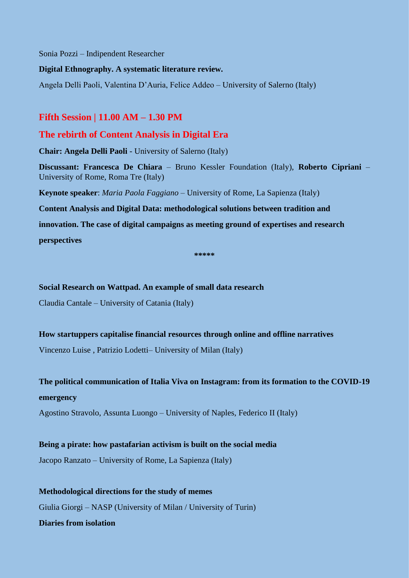Sonia Pozzi – Indipendent Researcher

#### **Digital Ethnography. A systematic literature review.**

Angela Delli Paoli, Valentina D'Auria, Felice Addeo – University of Salerno (Italy)

## **Fifth Session | 11.00 AM – 1.30 PM**

# **The rebirth of Content Analysis in Digital Era**

**Chair: Angela Delli Paoli** - University of Salerno (Italy)

**Discussant: Francesca De Chiara** – Bruno Kessler Foundation (Italy), **Roberto Cipriani** – University of Rome, Roma Tre (Italy)

**Keynote speaker**: *Maria Paola Faggiano* – University of Rome, La Sapienza (Italy)

**Content Analysis and Digital Data: methodological solutions between tradition and**

**innovation. The case of digital campaigns as meeting ground of expertises and research**

**perspectives** 

**\*\*\*\*\***

#### **Social Research on Wattpad. An example of small data research**

Claudia Cantale – University of Catania (Italy)

#### **How startuppers capitalise financial resources through online and offline narratives**

Vincenzo Luise , Patrizio Lodetti– University of Milan (Italy)

**The political communication of Italia Viva on Instagram: from its formation to the COVID-19 emergency**

Agostino Stravolo, Assunta Luongo – University of Naples, Federico II (Italy)

**Being a pirate: how pastafarian activism is built on the social media**

Jacopo Ranzato – University of Rome, La Sapienza (Italy)

**Methodological directions for the study of memes** Giulia Giorgi – NASP (University of Milan / University of Turin) **Diaries from isolation**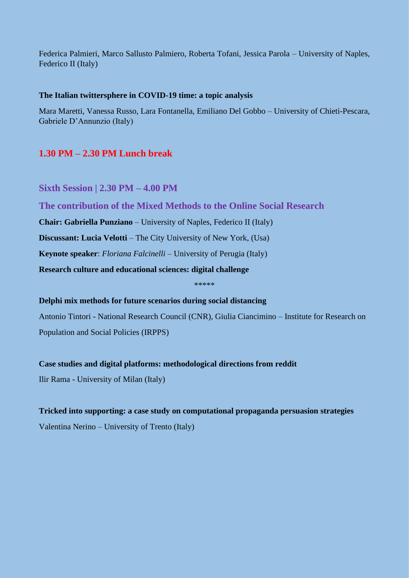Federica Palmieri, Marco Sallusto Palmiero, Roberta Tofani, Jessica Parola – University of Naples, Federico II (Italy)

#### **The Italian twittersphere in COVID-19 time: a topic analysis**

Mara Maretti, Vanessa Russo, Lara Fontanella, Emiliano Del Gobbo – University of Chieti-Pescara, Gabriele D'Annunzio (Italy)

# **1.30 PM – 2.30 PM Lunch break**

**Sixth Session | 2.30 PM – 4.00 PM**

**The contribution of the Mixed Methods to the Online Social Research**

**Chair: Gabriella Punziano** – University of Naples, Federico II (Italy)

**Discussant: Lucia Velotti** – The City University of New York, (Usa)

**Keynote speaker**: *Floriana Falcinelli* – University of Perugia (Italy)

**Research culture and educational sciences: digital challenge**

\*\*\*\*\*

**Delphi mix methods for future scenarios during social distancing**

Antonio Tintori - National Research Council (CNR), Giulia Ciancimino – Institute for Research on Population and Social Policies (IRPPS)

#### **Case studies and digital platforms: methodological directions from reddit**

Ilir Rama - University of Milan (Italy)

#### **Tricked into supporting: a case study on computational propaganda persuasion strategies**

Valentina Nerino – University of Trento (Italy)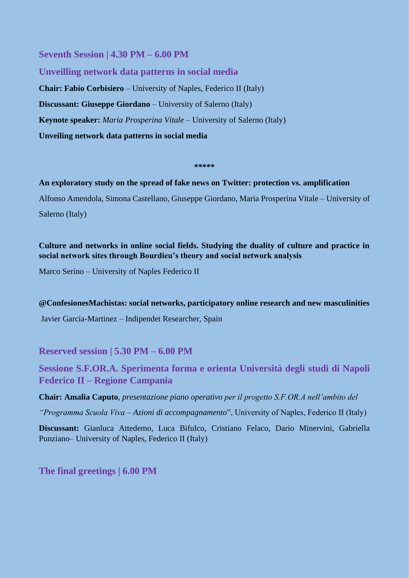**Seventh Session | 4.30 PM – 6.00 PM**

**Unveilling network data patterns in social media Chair: Fabio Corbisiero** – University of Naples, Federico II (Italy) **Discussant: Giuseppe Giordano** – University of Salerno (Italy) **Keynote speaker:** *Maria Prosperina Vitale* – University of Salerno (Italy) **Unveiling network data patterns in social media**

**\*\*\*\*\***

#### **An exploratory study on the spread of fake news on Twitter: protection vs. amplification**

Alfonso Amendola, Simona Castellano, Giuseppe Giordano, Maria Prosperina Vitale – University of Salerno (Italy)

## **Culture and networks in online social fields. Studying the duality of culture and practice in social network sites through Bourdieu's theory and social network analysis**

Marco Serino – University of Naples Federico II

#### **@ConfesionesMachistas: social networks, participatory online research and new masculinities**

Javier Garcia-Martinez – Indipendet Researcher, Spain

**Reserved session | 5.30 PM – 6.00 PM**

**Sessione S.F.OR.A. Sperimenta forma e orienta Università degli studi di Napoli Federico II – Regione Campania**

**Chair: Amalia Caputo**, *presentazione piano operativo per il progetto S.F.OR.A nell'ambito del*

*"Programma Scuola Viva – Azioni di accompagnamento*", University of Naples, Federico II (Italy)

**Discussant:** Gianluca Attedemo, Luca Bifulco, Cristiano Felaco, Dario Minervini, Gabriella Punziano– University of Naples, Federico II (Italy)

**The final greetings | 6.00 PM**